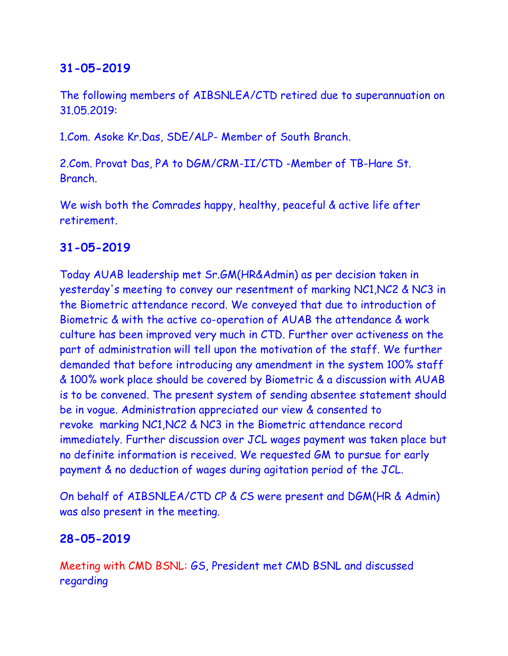# **31-05-2019**

The following members of AIBSNLEA/CTD retired due to superannuation on 31.05.2019:

1.Com. Asoke Kr.Das, SDE/ALP- Member of South Branch.

2.Com. Provat Das, PA to DGM/CRM-II/CTD -Member of TB-Hare St. Branch.

We wish both the Comrades happy, healthy, peaceful & active life after retirement.

## **31-05-2019**

Today AUAB leadership met Sr.GM(HR&Admin) as per decision taken in yesterday's meeting to convey our resentment of marking NC1,NC2 & NC3 in the Biometric attendance record. We conveyed that due to introduction of Biometric & with the active co-operation of AUAB the attendance & work culture has been improved very much in CTD. Further over activeness on the part of administration will tell upon the motivation of the staff. We further demanded that before introducing any amendment in the system 100% staff & 100% work place should be covered by Biometric & a discussion with AUAB is to be convened. The present system of sending absentee statement should be in vogue. Administration appreciated our view & consented to revoke marking NC1,NC2 & NC3 in the Biometric attendance record immediately. Further discussion over JCL wages payment was taken place but no definite information is received. We requested GM to pursue for early payment & no deduction of wages during agitation period of the JCL.

On behalf of AIBSNLEA/CTD CP & CS were present and DGM(HR & Admin) was also present in the meeting.

## **28-05-2019**

Meeting with CMD BSNL: GS, President met CMD BSNL and discussed regarding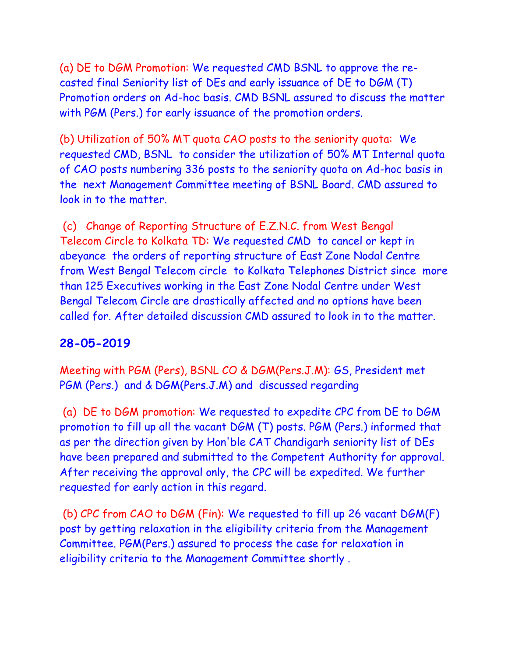(a) DE to DGM Promotion: We requested CMD BSNL to approve the recasted final Seniority list of DEs and early issuance of DE to DGM (T) Promotion orders on Ad-hoc basis. CMD BSNL assured to discuss the matter with PGM (Pers.) for early issuance of the promotion orders.

(b) Utilization of 50% MT quota CAO posts to the seniority quota: We requested CMD, BSNL to consider the utilization of 50% MT Internal quota of CAO posts numbering 336 posts to the seniority quota on Ad-hoc basis in the next Management Committee meeting of BSNL Board. CMD assured to look in to the matter.

(c) Change of Reporting Structure of E.Z.N.C. from West Bengal Telecom Circle to Kolkata TD: We requested CMD to cancel or kept in abeyance the orders of reporting structure of East Zone Nodal Centre from West Bengal Telecom circle to Kolkata Telephones District since more than 125 Executives working in the East Zone Nodal Centre under West Bengal Telecom Circle are drastically affected and no options have been called for. After detailed discussion CMD assured to look in to the matter.

#### **28-05-2019**

Meeting with PGM (Pers), BSNL CO & DGM(Pers.J.M): GS, President met PGM (Pers.) and & DGM(Pers.J.M) and discussed regarding

(a) DE to DGM promotion: We requested to expedite CPC from DE to DGM promotion to fill up all the vacant DGM (T) posts. PGM (Pers.) informed that as per the direction given by Hon'ble CAT Chandigarh seniority list of DEs have been prepared and submitted to the Competent Authority for approval. After receiving the approval only, the CPC will be expedited. We further requested for early action in this regard.

(b) CPC from CAO to DGM (Fin): We requested to fill up 26 vacant DGM(F) post by getting relaxation in the eligibility criteria from the Management Committee. PGM(Pers.) assured to process the case for relaxation in eligibility criteria to the Management Committee shortly .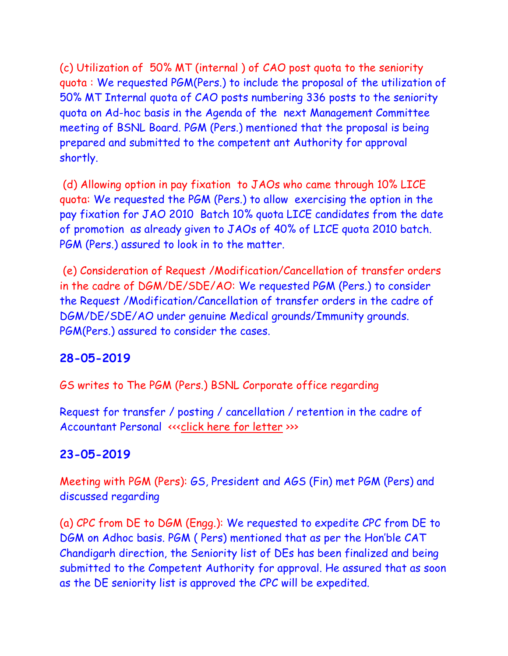(c) Utilization of 50% MT (internal ) of CAO post quota to the seniority quota : We requested PGM(Pers.) to include the proposal of the utilization of 50% MT Internal quota of CAO posts numbering 336 posts to the seniority quota on Ad-hoc basis in the Agenda of the next Management Committee meeting of BSNL Board. PGM (Pers.) mentioned that the proposal is being prepared and submitted to the competent ant Authority for approval shortly.

(d) Allowing option in pay fixation to JAOs who came through 10% LICE quota: We requested the PGM (Pers.) to allow exercising the option in the pay fixation for JAO 2010 Batch 10% quota LICE candidates from the date of promotion as already given to JAOs of 40% of LICE quota 2010 batch. PGM (Pers.) assured to look in to the matter.

(e) Consideration of Request /Modification/Cancellation of transfer orders in the cadre of DGM/DE/SDE/AO: We requested PGM (Pers.) to consider the Request /Modification/Cancellation of transfer orders in the cadre of DGM/DE/SDE/AO under genuine Medical grounds/Immunity grounds. PGM(Pers.) assured to consider the cases.

# **28-05-2019**

GS writes to The PGM (Pers.) BSNL Corporate office regarding

Request for transfer / posting / cancellation / retention in the cadre of Accountant Personal «<< click here for letter >>>

# **23-05-2019**

Meeting with PGM (Pers): GS, President and AGS (Fin) met PGM (Pers) and discussed regarding

(a) CPC from DE to DGM (Engg.): We requested to expedite CPC from DE to DGM on Adhoc basis. PGM ( Pers) mentioned that as per the Hon'ble CAT Chandigarh direction, the Seniority list of DEs has been finalized and being submitted to the Competent Authority for approval. He assured that as soon as the DE seniority list is approved the CPC will be expedited.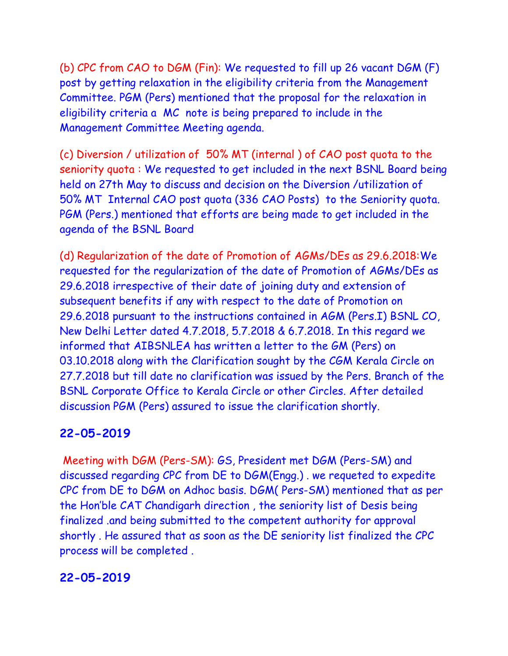(b) CPC from CAO to DGM (Fin): We requested to fill up 26 vacant DGM (F) post by getting relaxation in the eligibility criteria from the Management Committee. PGM (Pers) mentioned that the proposal for the relaxation in eligibility criteria a MC note is being prepared to include in the Management Committee Meeting agenda.

(c) Diversion / utilization of 50% MT (internal ) of CAO post quota to the seniority quota : We requested to get included in the next BSNL Board being held on 27th May to discuss and decision on the Diversion /utilization of 50% MT Internal CAO post quota (336 CAO Posts) to the Seniority quota. PGM (Pers.) mentioned that efforts are being made to get included in the agenda of the BSNL Board

(d) Regularization of the date of Promotion of AGMs/DEs as 29.6.2018:We requested for the regularization of the date of Promotion of AGMs/DEs as 29.6.2018 irrespective of their date of joining duty and extension of subsequent benefits if any with respect to the date of Promotion on 29.6.2018 pursuant to the instructions contained in AGM (Pers.I) BSNL CO, New Delhi Letter dated 4.7.2018, 5.7.2018 & 6.7.2018. In this regard we informed that AIBSNLEA has written a letter to the GM (Pers) on 03.10.2018 along with the Clarification sought by the CGM Kerala Circle on 27.7.2018 but till date no clarification was issued by the Pers. Branch of the BSNL Corporate Office to Kerala Circle or other Circles. After detailed discussion PGM (Pers) assured to issue the clarification shortly.

## **22-05-2019**

Meeting with DGM (Pers-SM): GS, President met DGM (Pers-SM) and discussed regarding CPC from DE to DGM(Engg.) . we requeted to expedite CPC from DE to DGM on Adhoc basis. DGM( Pers-SM) mentioned that as per the Hon'ble CAT Chandigarh direction , the seniority list of Desis being finalized .and being submitted to the competent authority for approval shortly . He assured that as soon as the DE seniority list finalized the CPC process will be completed .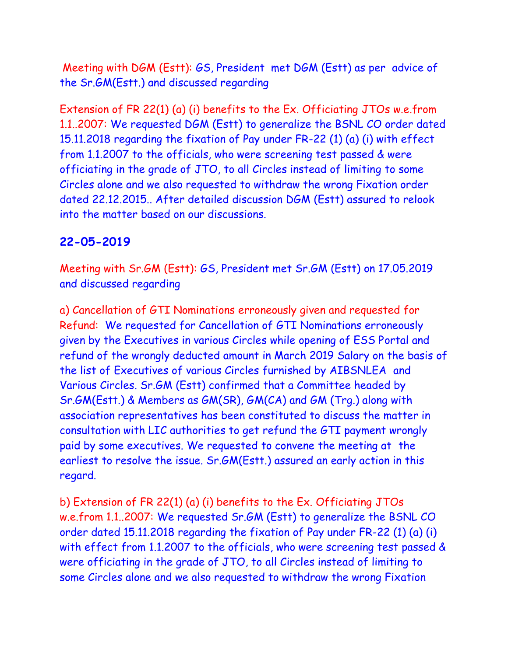Meeting with DGM (Estt): GS, President met DGM (Estt) as per advice of the Sr.GM(Estt.) and discussed regarding

Extension of FR 22(1) (a) (i) benefits to the Ex. Officiating JTOs w.e.from 1.1..2007: We requested DGM (Estt) to generalize the BSNL CO order dated 15.11.2018 regarding the fixation of Pay under FR-22 (1) (a) (i) with effect from 1.1.2007 to the officials, who were screening test passed & were officiating in the grade of JTO, to all Circles instead of limiting to some Circles alone and we also requested to withdraw the wrong Fixation order dated 22.12.2015.. After detailed discussion DGM (Estt) assured to relook into the matter based on our discussions.

#### **22-05-2019**

Meeting with Sr.GM (Estt): GS, President met Sr.GM (Estt) on 17.05.2019 and discussed regarding

a) Cancellation of GTI Nominations erroneously given and requested for Refund: We requested for Cancellation of GTI Nominations erroneously given by the Executives in various Circles while opening of ESS Portal and refund of the wrongly deducted amount in March 2019 Salary on the basis of the list of Executives of various Circles furnished by AIBSNLEA and Various Circles. Sr.GM (Estt) confirmed that a Committee headed by Sr.GM(Estt.) & Members as GM(SR), GM(CA) and GM (Trg.) along with association representatives has been constituted to discuss the matter in consultation with LIC authorities to get refund the GTI payment wrongly paid by some executives. We requested to convene the meeting at the earliest to resolve the issue. Sr.GM(Estt.) assured an early action in this regard.

b) Extension of FR 22(1) (a) (i) benefits to the Ex. Officiating JTOs w.e.from 1.1..2007: We requested Sr.GM (Estt) to generalize the BSNL CO order dated 15.11.2018 regarding the fixation of Pay under FR-22 (1) (a) (i) with effect from 1.1.2007 to the officials, who were screening test passed & were officiating in the grade of JTO, to all Circles instead of limiting to some Circles alone and we also requested to withdraw the wrong Fixation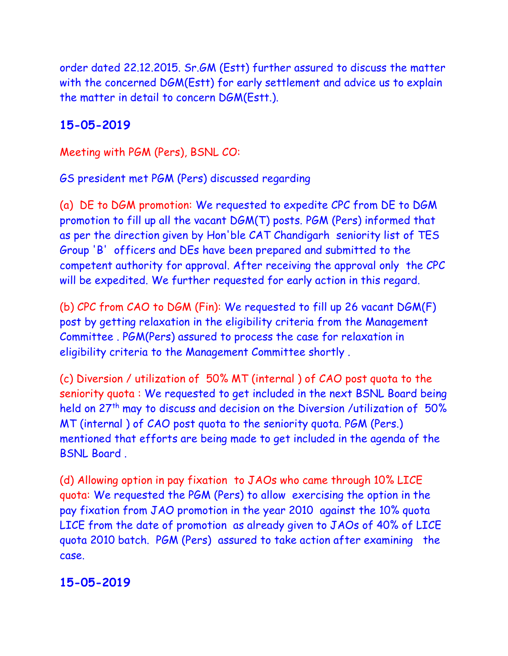order dated 22.12.2015. Sr.GM (Estt) further assured to discuss the matter with the concerned DGM(Estt) for early settlement and advice us to explain the matter in detail to concern DGM(Estt.).

# **15-05-2019**

Meeting with PGM (Pers), BSNL CO:

GS president met PGM (Pers) discussed regarding

(a) DE to DGM promotion: We requested to expedite CPC from DE to DGM promotion to fill up all the vacant DGM(T) posts. PGM (Pers) informed that as per the direction given by Hon'ble CAT Chandigarh seniority list of TES Group 'B' officers and DEs have been prepared and submitted to the competent authority for approval. After receiving the approval only the CPC will be expedited. We further requested for early action in this regard.

(b) CPC from CAO to DGM (Fin): We requested to fill up 26 vacant DGM(F) post by getting relaxation in the eligibility criteria from the Management Committee . PGM(Pers) assured to process the case for relaxation in eligibility criteria to the Management Committee shortly .

(c) Diversion / utilization of 50% MT (internal ) of CAO post quota to the seniority quota : We requested to get included in the next BSNL Board being held on 27<sup>th</sup> may to discuss and decision on the Diversion /utilization of 50% MT (internal ) of CAO post quota to the seniority quota. PGM (Pers.) mentioned that efforts are being made to get included in the agenda of the BSNL Board .

(d) Allowing option in pay fixation to JAOs who came through 10% LICE quota: We requested the PGM (Pers) to allow exercising the option in the pay fixation from JAO promotion in the year 2010 against the 10% quota LICE from the date of promotion as already given to JAOs of 40% of LICE quota 2010 batch. PGM (Pers) assured to take action after examining the case.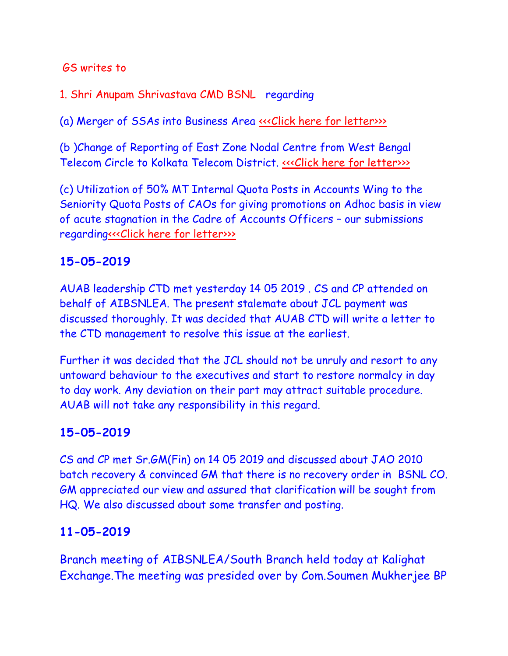#### GS writes to

1. Shri Anupam Shrivastava CMD BSNL regarding

(a) Merger of SSAs into Business Area <<< Click here for letter>>>>

(b )Change of Reporting of East Zone Nodal Centre from West Bengal Telecom Circle to Kolkata Telecom District. «<< Click here for letter>>>

(c) Utilization of 50% MT Internal Quota Posts in Accounts Wing to the Seniority Quota Posts of CAOs for giving promotions on Adhoc basis in view of acute stagnation in the Cadre of Accounts Officers – our submissions regardin[g<<<Click here for letter>>>](http://www.aibsnleachq.in/AA.pdf)>

#### **15-05-2019**

AUAB leadership CTD met yesterday 14 05 2019 . CS and CP attended on behalf of AIBSNLEA. The present stalemate about JCL payment was discussed thoroughly. It was decided that AUAB CTD will write a letter to the CTD management to resolve this issue at the earliest.

Further it was decided that the JCL should not be unruly and resort to any untoward behaviour to the executives and start to restore normalcy in day to day work. Any deviation on their part may attract suitable procedure. AUAB will not take any responsibility in this regard.

#### **15-05-2019**

CS and CP met Sr.GM(Fin) on 14 05 2019 and discussed about JAO 2010 batch recovery & convinced GM that there is no recovery order in BSNL CO. GM appreciated our view and assured that clarification will be sought from HQ. We also discussed about some transfer and posting.

## **11-05-2019**

Branch meeting of AIBSNLEA/South Branch held today at Kalighat Exchange.The meeting was presided over by Com.Soumen Mukherjee BP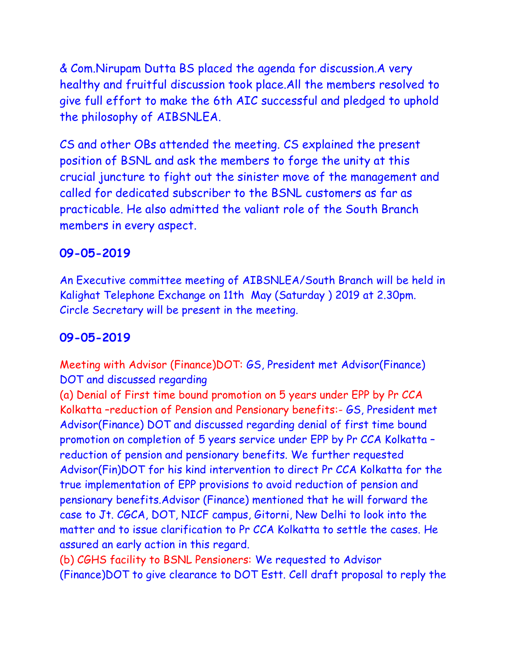& Com.Nirupam Dutta BS placed the agenda for discussion.A very healthy and fruitful discussion took place.All the members resolved to give full effort to make the 6th AIC successful and pledged to uphold the philosophy of AIBSNLEA.

CS and other OBs attended the meeting. CS explained the present position of BSNL and ask the members to forge the unity at this crucial juncture to fight out the sinister move of the management and called for dedicated subscriber to the BSNL customers as far as practicable. He also admitted the valiant role of the South Branch members in every aspect.

#### **09-05-2019**

An Executive committee meeting of AIBSNLEA/South Branch will be held in Kalighat Telephone Exchange on 11th May (Saturday ) 2019 at 2.30pm. Circle Secretary will be present in the meeting.

#### **09-05-2019**

Meeting with Advisor (Finance)DOT: GS, President met Advisor(Finance) DOT and discussed regarding

(a) Denial of First time bound promotion on 5 years under EPP by Pr CCA Kolkatta –reduction of Pension and Pensionary benefits:- GS, President met Advisor(Finance) DOT and discussed regarding denial of first time bound promotion on completion of 5 years service under EPP by Pr CCA Kolkatta – reduction of pension and pensionary benefits. We further requested Advisor(Fin)DOT for his kind intervention to direct Pr CCA Kolkatta for the true implementation of EPP provisions to avoid reduction of pension and pensionary benefits.Advisor (Finance) mentioned that he will forward the case to Jt. CGCA, DOT, NICF campus, Gitorni, New Delhi to look into the matter and to issue clarification to Pr CCA Kolkatta to settle the cases. He assured an early action in this regard.

(b) CGHS facility to BSNL Pensioners: We requested to Advisor (Finance)DOT to give clearance to DOT Estt. Cell draft proposal to reply the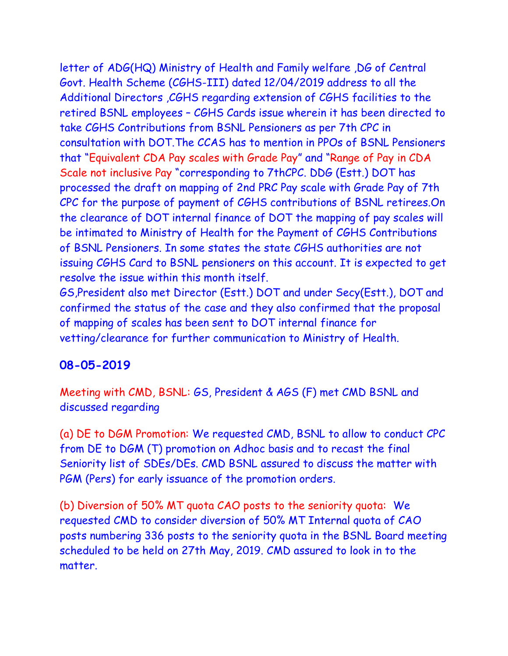letter of ADG(HQ) Ministry of Health and Family welfare ,DG of Central Govt. Health Scheme (CGHS-III) dated 12/04/2019 address to all the Additional Directors ,CGHS regarding extension of CGHS facilities to the retired BSNL employees – CGHS Cards issue wherein it has been directed to take CGHS Contributions from BSNL Pensioners as per 7th CPC in consultation with DOT.The CCAS has to mention in PPOs of BSNL Pensioners that "Equivalent CDA Pay scales with Grade Pay" and "Range of Pay in CDA Scale not inclusive Pay "corresponding to 7thCPC. DDG (Estt.) DOT has processed the draft on mapping of 2nd PRC Pay scale with Grade Pay of 7th CPC for the purpose of payment of CGHS contributions of BSNL retirees.On the clearance of DOT internal finance of DOT the mapping of pay scales will be intimated to Ministry of Health for the Payment of CGHS Contributions of BSNL Pensioners. In some states the state CGHS authorities are not issuing CGHS Card to BSNL pensioners on this account. It is expected to get resolve the issue within this month itself.

GS,President also met Director (Estt.) DOT and under Secy(Estt.), DOT and confirmed the status of the case and they also confirmed that the proposal of mapping of scales has been sent to DOT internal finance for vetting/clearance for further communication to Ministry of Health.

## **08-05-2019**

Meeting with CMD, BSNL: GS, President & AGS (F) met CMD BSNL and discussed regarding

(a) DE to DGM Promotion: We requested CMD, BSNL to allow to conduct CPC from DE to DGM (T) promotion on Adhoc basis and to recast the final Seniority list of SDEs/DEs. CMD BSNL assured to discuss the matter with PGM (Pers) for early issuance of the promotion orders.

(b) Diversion of 50% MT quota CAO posts to the seniority quota: We requested CMD to consider diversion of 50% MT Internal quota of CAO posts numbering 336 posts to the seniority quota in the BSNL Board meeting scheduled to be held on 27th May, 2019. CMD assured to look in to the matter.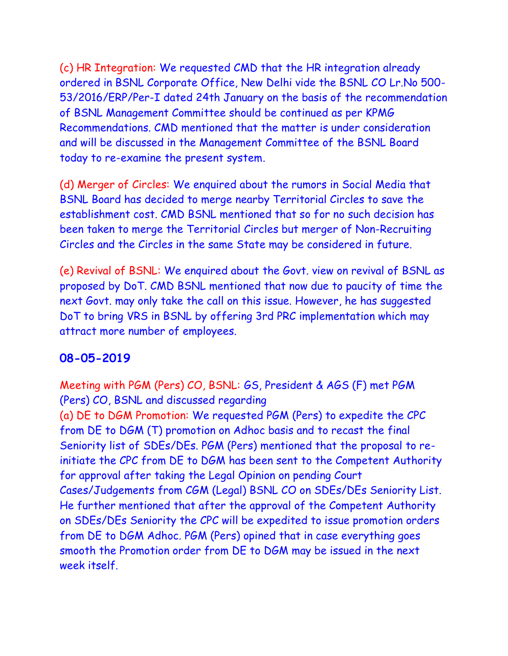(c) HR Integration: We requested CMD that the HR integration already ordered in BSNL Corporate Office, New Delhi vide the BSNL CO Lr.No 500- 53/2016/ERP/Per-I dated 24th January on the basis of the recommendation of BSNL Management Committee should be continued as per KPMG Recommendations. CMD mentioned that the matter is under consideration and will be discussed in the Management Committee of the BSNL Board today to re-examine the present system.

(d) Merger of Circles: We enquired about the rumors in Social Media that BSNL Board has decided to merge nearby Territorial Circles to save the establishment cost. CMD BSNL mentioned that so for no such decision has been taken to merge the Territorial Circles but merger of Non-Recruiting Circles and the Circles in the same State may be considered in future.

(e) Revival of BSNL: We enquired about the Govt. view on revival of BSNL as proposed by DoT. CMD BSNL mentioned that now due to paucity of time the next Govt. may only take the call on this issue. However, he has suggested DoT to bring VRS in BSNL by offering 3rd PRC implementation which may attract more number of employees.

## **08-05-2019**

Meeting with PGM (Pers) CO, BSNL: GS, President & AGS (F) met PGM (Pers) CO, BSNL and discussed regarding (a) DE to DGM Promotion: We requested PGM (Pers) to expedite the CPC from DE to DGM (T) promotion on Adhoc basis and to recast the final Seniority list of SDEs/DEs. PGM (Pers) mentioned that the proposal to reinitiate the CPC from DE to DGM has been sent to the Competent Authority for approval after taking the Legal Opinion on pending Court Cases/Judgements from CGM (Legal) BSNL CO on SDEs/DEs Seniority List. He further mentioned that after the approval of the Competent Authority on SDEs/DEs Seniority the CPC will be expedited to issue promotion orders from DE to DGM Adhoc. PGM (Pers) opined that in case everything goes smooth the Promotion order from DE to DGM may be issued in the next week itself.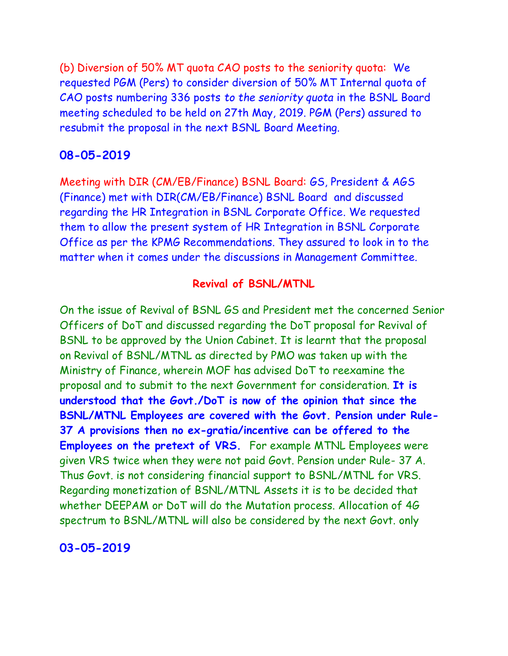(b) Diversion of 50% MT quota CAO posts to the seniority quota: We requested PGM (Pers) to consider diversion of 50% MT Internal quota of CAO posts numbering 336 posts *to the seniority quota* in the BSNL Board meeting scheduled to be held on 27th May, 2019. PGM (Pers) assured to resubmit the proposal in the next BSNL Board Meeting.

#### **08-05-2019**

Meeting with DIR (CM/EB/Finance) BSNL Board: GS, President & AGS (Finance) met with DIR(CM/EB/Finance) BSNL Board and discussed regarding the HR Integration in BSNL Corporate Office. We requested them to allow the present system of HR Integration in BSNL Corporate Office as per the KPMG Recommendations. They assured to look in to the matter when it comes under the discussions in Management Committee.

#### **Revival of BSNL/MTNL**

On the issue of Revival of BSNL GS and President met the concerned Senior Officers of DoT and discussed regarding the DoT proposal for Revival of BSNL to be approved by the Union Cabinet. It is learnt that the proposal on Revival of BSNL/MTNL as directed by PMO was taken up with the Ministry of Finance, wherein MOF has advised DoT to reexamine the proposal and to submit to the next Government for consideration. **It is understood that the Govt./DoT is now of the opinion that since the BSNL/MTNL Employees are covered with the Govt. Pension under Rule-37 A provisions then no ex-gratia/incentive can be offered to the Employees on the pretext of VRS.** For example MTNL Employees were given VRS twice when they were not paid Govt. Pension under Rule- 37 A. Thus Govt. is not considering financial support to BSNL/MTNL for VRS. Regarding monetization of BSNL/MTNL Assets it is to be decided that whether DEEPAM or DoT will do the Mutation process. Allocation of 4G spectrum to BSNL/MTNL will also be considered by the next Govt. only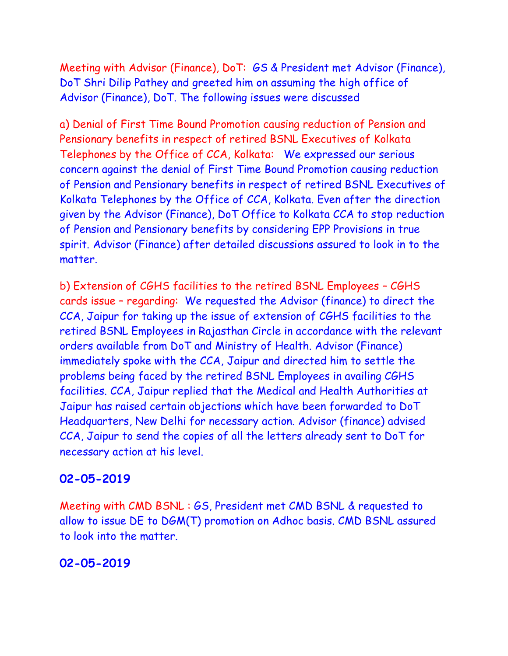Meeting with Advisor (Finance), DoT: GS & President met Advisor (Finance), DoT Shri Dilip Pathey and greeted him on assuming the high office of Advisor (Finance), DoT. The following issues were discussed

a) Denial of First Time Bound Promotion causing reduction of Pension and Pensionary benefits in respect of retired BSNL Executives of Kolkata Telephones by the Office of CCA, Kolkata: We expressed our serious concern against the denial of First Time Bound Promotion causing reduction of Pension and Pensionary benefits in respect of retired BSNL Executives of Kolkata Telephones by the Office of CCA, Kolkata. Even after the direction given by the Advisor (Finance), DoT Office to Kolkata CCA to stop reduction of Pension and Pensionary benefits by considering EPP Provisions in true spirit. Advisor (Finance) after detailed discussions assured to look in to the matter.

b) Extension of CGHS facilities to the retired BSNL Employees – CGHS cards issue – regarding: We requested the Advisor (finance) to direct the CCA, Jaipur for taking up the issue of extension of CGHS facilities to the retired BSNL Employees in Rajasthan Circle in accordance with the relevant orders available from DoT and Ministry of Health. Advisor (Finance) immediately spoke with the CCA, Jaipur and directed him to settle the problems being faced by the retired BSNL Employees in availing CGHS facilities. CCA, Jaipur replied that the Medical and Health Authorities at Jaipur has raised certain objections which have been forwarded to DoT Headquarters, New Delhi for necessary action. Advisor (finance) advised CCA, Jaipur to send the copies of all the letters already sent to DoT for necessary action at his level.

## **02-05-2019**

Meeting with CMD BSNL : GS, President met CMD BSNL & requested to allow to issue DE to DGM(T) promotion on Adhoc basis. CMD BSNL assured to look into the matter.